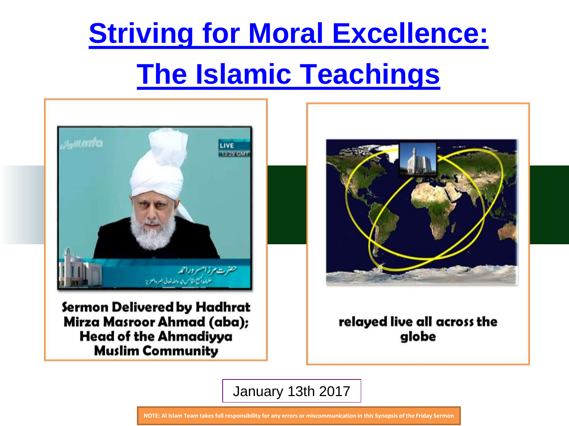

Sermon Delivered by Hadhrat Mirza Masroor Ahmad (aba); **Head of the Ahmadiyya Muslim Community** 



relayed live all across the globe

January 13th 2017

**NOTE: Al Islam Team takes full responsibility for any errors or miscommunication in this Synopsis of the Friday Sermon**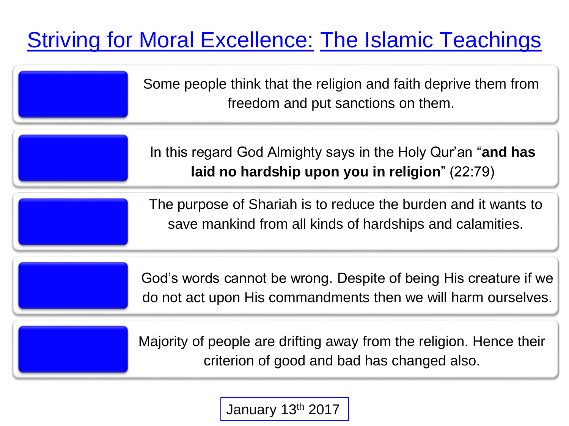Some people think that the religion and faith deprive them from freedom and put sanctions on them.

In this regard God Almighty says in the Holy Qur'an "**and has laid no hardship upon you in religion**" (22:79)

The purpose of Shariah is to reduce the burden and it wants to save mankind from all kinds of hardships and calamities.

God's words cannot be wrong. Despite of being His creature if we do not act upon His commandments then we will harm ourselves.

Majority of people are drifting away from the religion. Hence their criterion of good and bad has changed also.

January 13th 2017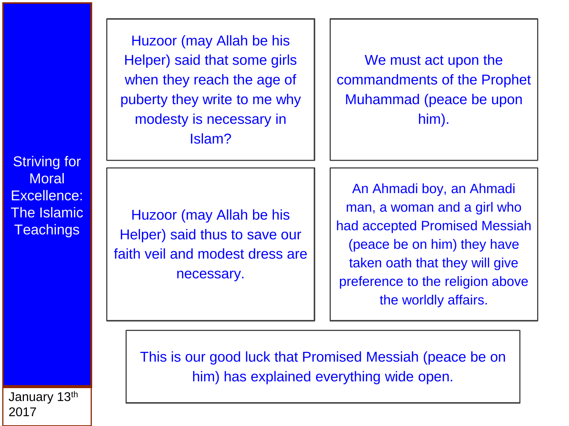Huzoor (may Allah be his Helper) said that some girls when they reach the age of puberty they write to me why modesty is necessary in Islam?

We must act upon the commandments of the Prophet Muhammad (peace be upon him).

**Striving for Moral** Excellence: The Islamic **Teachings** 

Huzoor (may Allah be his Helper) said thus to save our faith veil and modest dress are necessary.

An Ahmadi boy, an Ahmadi man, a woman and a girl who had accepted Promised Messiah (peace be on him) they have taken oath that they will give preference to the religion above the worldly affairs.

This is our good luck that Promised Messiah (peace be on him) has explained everything wide open.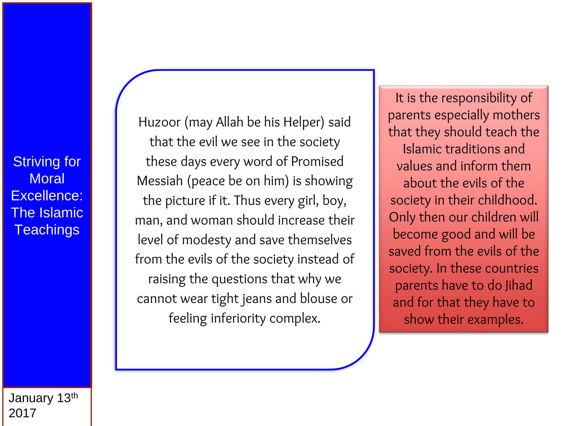Huzoor (may Allah be his Helper) said that the evil we see in the society these days every word of Promised Messiah (peace be on him) is showing the picture if it. Thus every girl, boy, man, and woman should increase their level of modesty and save themselves from the evils of the society instead of raising the questions that why we cannot wear tight jeans and blouse or feeling inferiority complex.

It is the responsibility of parents especially mothers that they should teach the Islamic traditions and values and inform them about the evils of the society in their childhood. Only then our children will become good and will be saved from the evils of the society. In these countries parents have to do Jihad and for that they have to show their examples.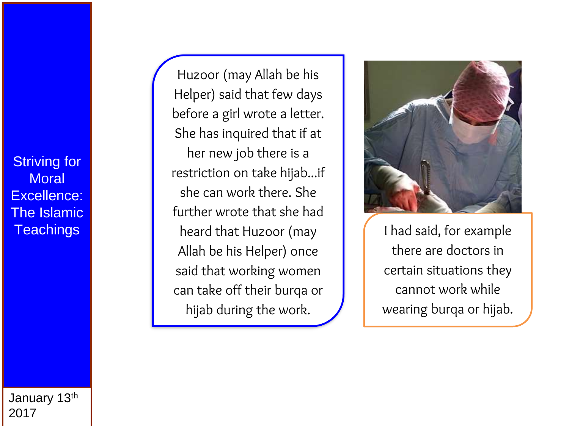Huzoor (may Allah be his Helper) said that few days before a girl wrote a letter. She has inquired that if at her new job there is a restriction on take hijab...if she can work there. She further wrote that she had heard that Huzoor (may Allah be his Helper) once said that working women can take off their burqa or hijab during the work.



I had said, for example there are doctors in certain situations they cannot work while wearing burqa or hijab.

January 13th 2017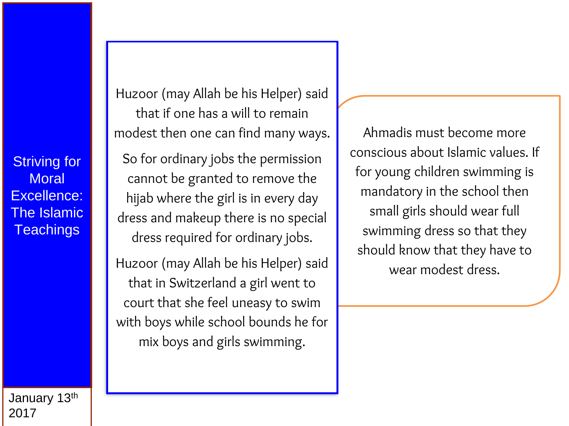Huzoor (may Allah be his Helper) said that if one has a will to remain modest then one can find many ways.

So for ordinary jobs the permission cannot be granted to remove the hijab where the girl is in every day dress and makeup there is no special dress required for ordinary jobs.

Huzoor (may Allah be his Helper) said that in Switzerland a girl went to court that she feel uneasy to swim with boys while school bounds he for mix boys and girls swimming.

Ahmadis must become more conscious about Islamic values. If for young children swimming is mandatory in the school then small girls should wear full swimming dress so that they should know that they have to wear modest dress.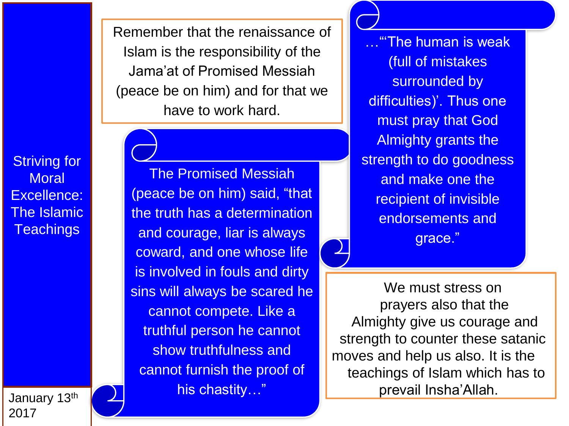Remember that the renaissance of Islam is the responsibility of the Jama'at of Promised Messiah (peace be on him) and for that we have to work hard.

Striving for **Moral** Excellence: The Islamic **Teachings** 

The Promised Messiah (peace be on him) said, "that the truth has a determination and courage, liar is always coward, and one whose life is involved in fouls and dirty sins will always be scared he cannot compete. Like a truthful person he cannot show truthfulness and cannot furnish the proof of his chastity…"

…"'The human is weak (full of mistakes surrounded by difficulties)'. Thus one must pray that God Almighty grants the strength to do goodness and make one the recipient of invisible endorsements and grace."

We must stress on prayers also that the Almighty give us courage and strength to counter these satanic moves and help us also. It is the teachings of Islam which has to prevail Insha'Allah.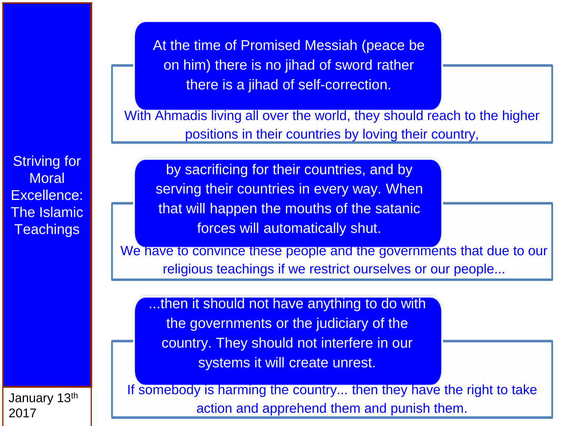At the time of Promised Messiah (peace be on him) there is no jihad of sword rather there is a jihad of self-correction.

With Ahmadis living all over the world, they should reach to the higher positions in their countries by loving their country,

by sacrificing for their countries, and by serving their countries in every way. When that will happen the mouths of the satanic forces will automatically shut.

We have to convince these people and the governments that due to our religious teachings if we restrict ourselves or our people...

...then it should not have anything to do with the governments or the judiciary of the country. They should not interfere in our systems it will create unrest.

If somebody is harming the country... then they have the right to take action and apprehend them and punish them.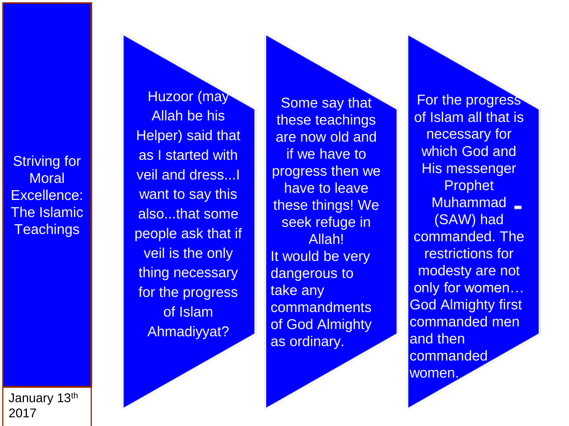Huzoor (may Allah be his Helper) said that as I started with veil and dress...I want to say this also...that some people ask that if veil is the only thing necessary for the progress of Islam Ahmadiyyat?

Some say that these teachings are now old and if we have to progress then we have to leave these things! We seek refuge in Allah! It would be very dangerous to take any **commandments** of God Almighty as ordinary.

For the progress of Islam all that is necessary for which God and His messenger Prophet Muhammad (SAW) had commanded. The restrictions for modesty are not only for women… God Almighty first commanded men and then commanded women.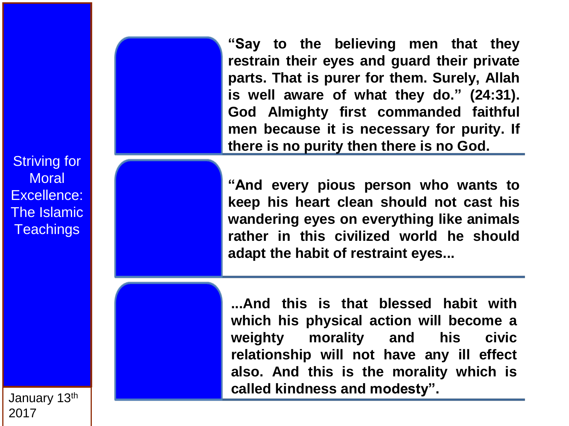**"Say to the believing men that they restrain their eyes and guard their private parts . That is purer for them . Surely, Allah is well aware of what they do . " (24 :31 ) . God Almighty first commanded faithful men because it is necessary for purity . If there is no purity then there is no God .**

**"And every pious person who wants to keep his heart clean should not cast his wandering eyes on everything like animals rather in this civilized world he should adapt the habit of restraint eyes...**

**...And this is that blessed habit with which his physical action will become a weighty morality and his civic relationship will not have any ill effect also . And this is the morality which is called kindness and modesty" .**

Striving for **Moral** Excellence: The Islamic Teachings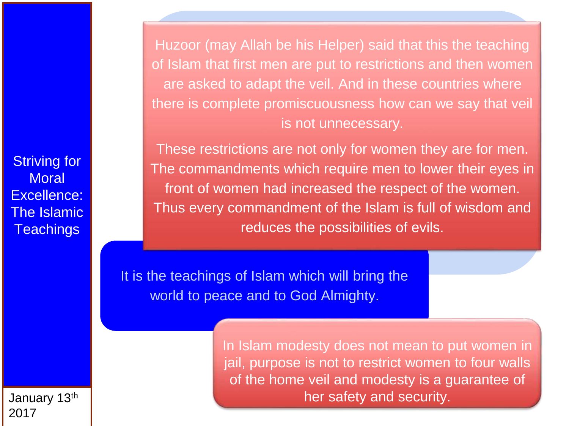Huzoor (may Allah be his Helper) said that this the teaching of Islam that first men are put to restrictions and then women are asked to adapt the veil. And in these countries where there is complete promiscuousness how can we say that veil is not unnecessary.

These restrictions are not only for women they are for men. The commandments which require men to lower their eyes in front of women had increased the respect of the women. Thus every commandment of the Islam is full of wisdom and reduces the possibilities of evils.

It is the teachings of Islam which will bring the world to peace and to God Almighty.

> In Islam modesty does not mean to put women in jail, purpose is not to restrict women to four walls of the home veil and modesty is a guarantee of her safety and security.